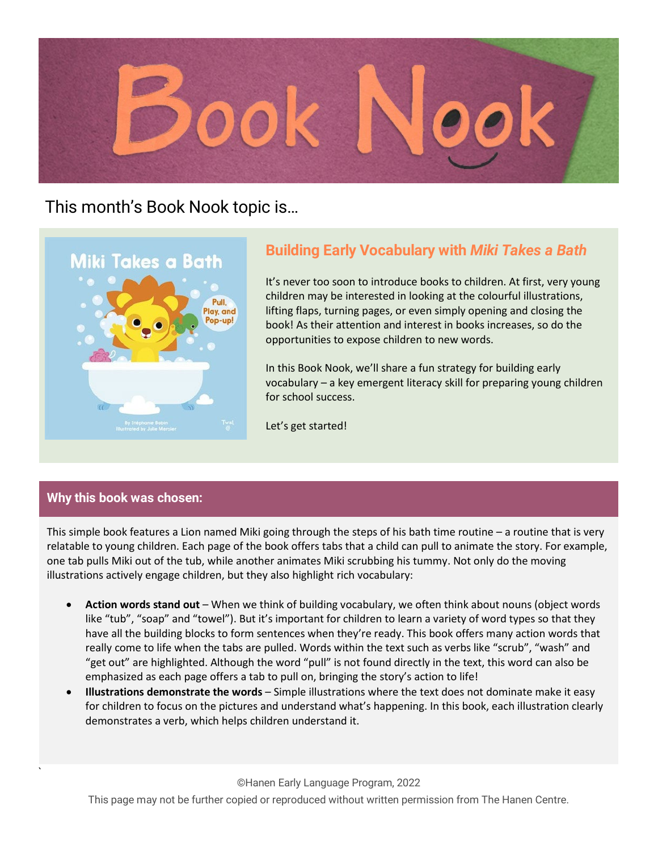

## This month's Book Nook topic is…



## **Building Early Vocabulary with** *Miki Takes a Bath*

It's never too soon to introduce books to children. At first, very young children may be interested in looking at the colourful illustrations, lifting flaps, turning pages, or even simply opening and closing the book! As their attention and interest in books increases, so do the opportunities to expose children to new words.

In this Book Nook, we'll share a fun strategy for building early vocabulary – a key emergent literacy skill for preparing young children for school success.

Let's get started!

#### **Why this book was chosen:**

`

This simple book features a Lion named Miki going through the steps of his bath time routine – a routine that is very relatable to young children. Each page of the book offers tabs that a child can pull to animate the story. For example, one tab pulls Miki out of the tub, while another animates Miki scrubbing his tummy. Not only do the moving illustrations actively engage children, but they also highlight rich vocabulary:

- **Action words stand out**  When we think of building vocabulary, we often think about nouns (object words like "tub", "soap" and "towel"). But it's important for children to learn a variety of word types so that they have all the building blocks to form sentences when they're ready. This book offers many action words that really come to life when the tabs are pulled. Words within the text such as verbs like "scrub", "wash" and "get out" are highlighted. Although the word "pull" is not found directly in the text, this word can also be emphasized as each page offers a tab to pull on, bringing the story's action to life!
- **Illustrations demonstrate the words** Simple illustrations where the text does not dominate make it easy for children to focus on the pictures and understand what's happening. In this book, each illustration clearly demonstrates a verb, which helps children understand it.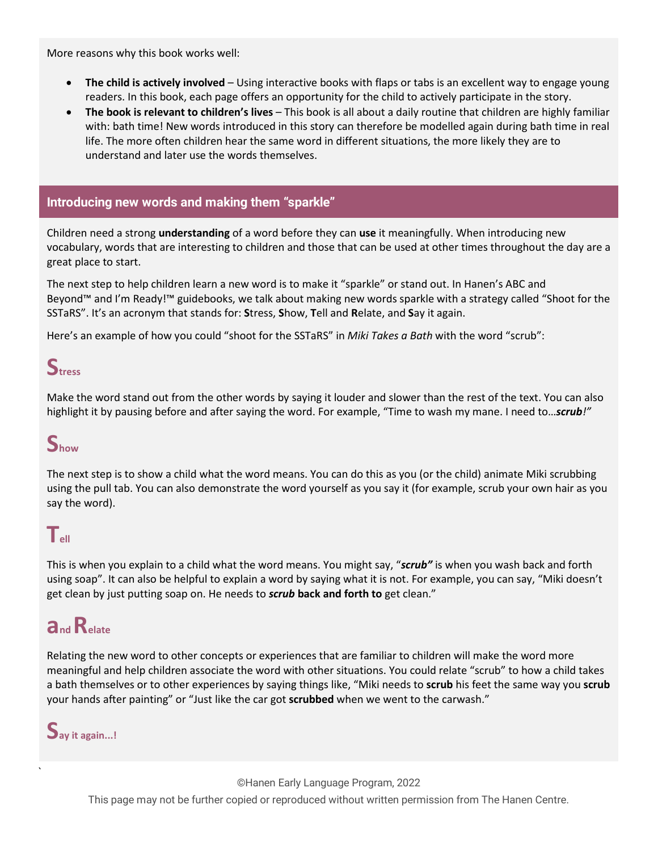More reasons why this book works well:

- **The child is actively involved**  Using interactive books with flaps or tabs is an excellent way to engage young readers. In this book, each page offers an opportunity for the child to actively participate in the story.
- **The book is relevant to children's lives** This book is all about a daily routine that children are highly familiar with: bath time! New words introduced in this story can therefore be modelled again during bath time in real life. The more often children hear the same word in different situations, the more likely they are to understand and later use the words themselves.

#### **Introducing new words and making them "sparkle"**

Children need a strong **understanding** of a word before they can **use** it meaningfully. When introducing new vocabulary, words that are interesting to children and those that can be used at other times throughout the day are a great place to start.

The next step to help children learn a new word is to make it "sparkle" or stand out. In Hanen's ABC and Beyond™ and I'm Ready!™ guidebooks, we talk about making new words sparkle with a strategy called "Shoot for the SSTaRS". It's an acronym that stands for: **S**tress, **S**how, **T**ell and **R**elate, and **S**ay it again.

Here's an example of how you could "shoot for the SSTaRS" in *Miki Takes a Bath* with the word "scrub":

# **Stress**

Make the word stand out from the other words by saying it louder and slower than the rest of the text. You can also highlight it by pausing before and after saying the word. For example, "Time to wash my mane. I need to…*scrub!"*

# **Show**

The next step is to show a child what the word means. You can do this as you (or the child) animate Miki scrubbing using the pull tab. You can also demonstrate the word yourself as you say it (for example, scrub your own hair as you say the word).

### $T_{\text{eff}}$

This is when you explain to a child what the word means. You might say, "*scrub"* is when you wash back and forth using soap". It can also be helpful to explain a word by saying what it is not. For example, you can say, "Miki doesn't get clean by just putting soap on. He needs to *scrub* **back and forth to** get clean."

# **andRelate**

Relating the new word to other concepts or experiences that are familiar to children will make the word more meaningful and help children associate the word with other situations. You could relate "scrub" to how a child takes a bath themselves or to other experiences by saying things like, "Miki needs to **scrub** his feet the same way you **scrub** your hands after painting" or "Just like the car got **scrubbed** when we went to the carwash."



`

©Hanen Early Language Program, 2022 This page may not be further copied or reproduced without written permission from The Hanen Centre.